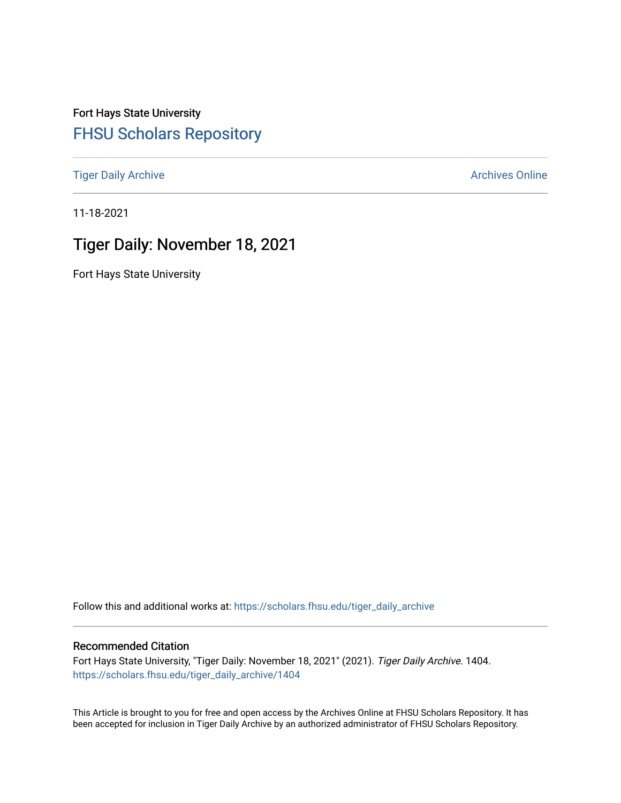Fort Hays State University [FHSU Scholars Repository](https://scholars.fhsu.edu/) 

[Tiger Daily Archive](https://scholars.fhsu.edu/tiger_daily_archive) **Archives** Online Archives Online

11-18-2021

# Tiger Daily: November 18, 2021

Fort Hays State University

Follow this and additional works at: [https://scholars.fhsu.edu/tiger\\_daily\\_archive](https://scholars.fhsu.edu/tiger_daily_archive?utm_source=scholars.fhsu.edu%2Ftiger_daily_archive%2F1404&utm_medium=PDF&utm_campaign=PDFCoverPages)

#### Recommended Citation

Fort Hays State University, "Tiger Daily: November 18, 2021" (2021). Tiger Daily Archive. 1404. [https://scholars.fhsu.edu/tiger\\_daily\\_archive/1404](https://scholars.fhsu.edu/tiger_daily_archive/1404?utm_source=scholars.fhsu.edu%2Ftiger_daily_archive%2F1404&utm_medium=PDF&utm_campaign=PDFCoverPages)

This Article is brought to you for free and open access by the Archives Online at FHSU Scholars Repository. It has been accepted for inclusion in Tiger Daily Archive by an authorized administrator of FHSU Scholars Repository.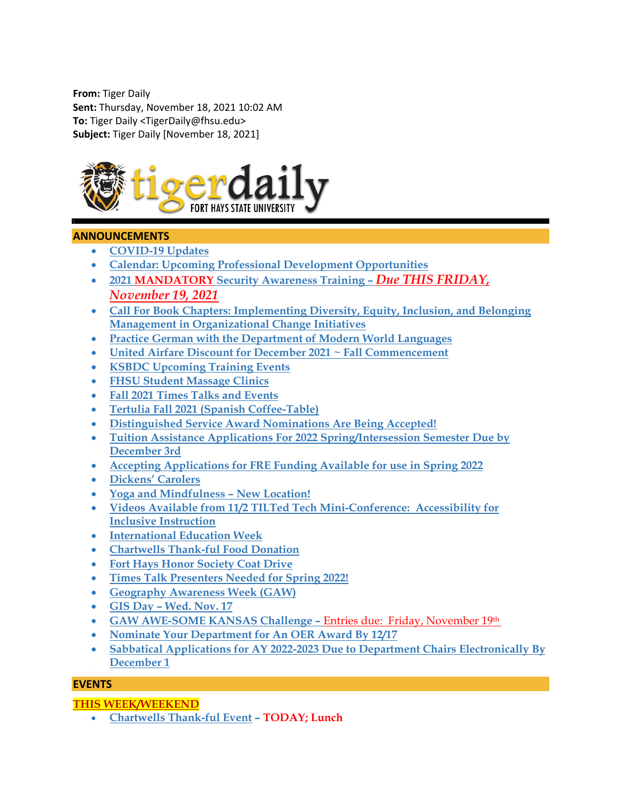**From:** Tiger Daily **Sent:** Thursday, November 18, 2021 10:02 AM **To:** Tiger Daily <TigerDaily@fhsu.edu> **Subject:** Tiger Daily [November 18, 2021]



### **ANNOUNCEMENTS**

- **[COVID-19 Updates](#page-2-0)**
- **[Calendar: Upcoming Professional Development Opportunities](#page-2-1)**
- **2021 MANDATORY [Security Awareness Training –](#page-3-0)** *Due THIS FRIDAY, [November 19, 2021](#page-3-0)*
- **[Call For Book Chapters: Implementing Diversity, Equity, Inclusion, and Belonging](#page-3-1)  [Management in Organizational Change Initiatives](#page-3-1)**
- **[Practice German with the Department of Modern World Languages](#page-3-2)**
- **[United Airfare Discount for December 2021 ~ Fall Commencement](#page-4-0)**
- **[KSBDC Upcoming Training Events](#page-4-1)**
- **[FHSU Student Massage Clinics](#page-4-2)**
- **[Fall 2021 Times Talks and Events](#page-5-0)**
- **[Tertulia Fall 2021 \(Spanish Coffee-Table\)](#page-5-1)**
- **[Distinguished Service Award Nominations Are Being Accepted!](#page-5-2)**
- **[Tuition Assistance Applications For 2022 Spring/Intersession Semester Due by](#page-6-0)  [December 3rd](#page-6-0)**
- **[Accepting Applications for FRE Funding Available for use in Spring 2022](#page-7-0)**
- **[Dickens' Carolers](#page-7-1)**
- **[Yoga and Mindfulness –](#page-7-2) New Location!**
- **[Videos Available from 11/2 TILTed Tech Mini-Conference:](#page-7-3) Accessibility for [Inclusive Instruction](#page-7-3)**
- **[International Education Week](#page-7-4)**
- **[Chartwells Thank-ful Food Donation](#page-8-0)**
- **[Fort Hays Honor Society Coat Drive](#page-8-1)**
- **[Times Talk Presenters Needed for Spring 2022!](#page-8-2)**
- **[Geography Awareness Week \(GAW\)](#page-8-3)**
- **GIS Day – [Wed. Nov. 17](#page-9-0)**
- **[GAW AWE-SOME KANSAS Challenge](#page-9-1) –** Entries due: Friday, November 19th
- **[Nominate Your Department for An OER Award By 12/17](#page-9-2)**
- **[Sabbatical Applications for AY 2022-2023 Due to Department Chairs Electronically By](#page-10-0)  [December 1](#page-10-0)**

### **EVENTS**

### **THIS WEEK/WEEKEND**

• **[Chartwells Thank-ful Event](#page-10-1) – TODAY; Lunch**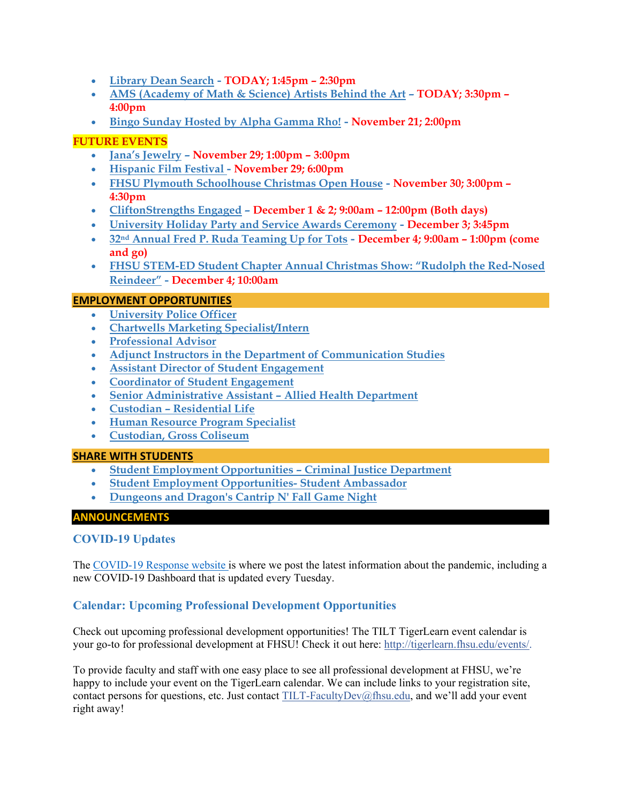- **[Library Dean Search](#page-10-2) - TODAY; 1:45pm – 2:30pm**
- **[AMS \(Academy of Math & Science\) Artists Behind the Art](#page-10-3) – TODAY; 3:30pm – 4:00pm**
- **[Bingo Sunday Hosted by Alpha Gamma Rho!](#page-11-0) - November 21; 2:00pm**

## **FUTURE EVENTS**

- **[Jana's Jewelry](#page-11-1) – November 29; 1:00pm – 3:00pm**
- **[Hispanic Film Festival](#page-11-2) - November 29; 6:00pm**
- **[FHSU Plymouth Schoolhouse Christmas Open House](#page-12-0) - November 30; 3:00pm – 4:30pm**
- **[CliftonStrengths Engaged](#page-12-1) – December 1 & 2; 9:00am – 12:00pm (Both days)**
- **[University Holiday Party and Service Awards Ceremony](#page-12-2) - December 3; 3:45pm**
- **32nd [Annual Fred P. Ruda Teaming Up for Tots](#page-12-3) - December 4; 9:00am – 1:00pm (come and go)**
- **[FHSU STEM-ED Student Chapter Annual Christmas Show: "Rudolph the Red-Nosed](#page-14-0)  [Reindeer"](#page-14-0) - December 4; 10:00am**

### **EMPLOYMENT OPPORTUNITIES**

- **[University Police Officer](#page-15-0)**
- **[Chartwells Marketing Specialist/Intern](#page-15-1)**
- **[Professional Advisor](#page-16-0)**
- **[Adjunct Instructors in the Department of Communication Studies](#page-17-0)**
- **[Assistant Director of Student Engagement](#page-18-0)**
- **[Coordinator of Student Engagement](#page-18-1)**
- **[Senior Administrative Assistant –](#page-19-0) Allied Health Department**
- **Custodian – [Residential Life](#page-19-1)**
- **[Human Resource Program Specialist](#page-20-0)**
- **[Custodian, Gross Coliseum](#page-20-1)**

#### **SHARE WITH STUDENTS**

- **[Student Employment Opportunities –](#page-21-0) Criminal Justice Department**
- **[Student Employment Opportunities-](#page-21-1) Student Ambassador**
- <span id="page-2-0"></span>• **[Dungeons and Dragon's Cantrip N' Fall Game Night](#page-21-2)**

### **ANNOUNCEMENTS**

### **COVID-19 Updates**

The [COVID-19 Response website](https://www.fhsu.edu/covid-19-response/index) is where we post the latest information about the pandemic, including a new COVID-19 Dashboard that is updated every Tuesday.

# <span id="page-2-1"></span>**Calendar: Upcoming Professional Development Opportunities**

Check out upcoming professional development opportunities! The TILT TigerLearn event calendar is your go-to for professional development at FHSU! Check it out here: [http://tigerlearn.fhsu.edu/events/.](http://tigerlearn.fhsu.edu/events/)

To provide faculty and staff with one easy place to see all professional development at FHSU, we're happy to include your event on the TigerLearn calendar. We can include links to your registration site, contact persons for questions, etc. Just contact [TILT-FacultyDev@fhsu.edu,](mailto:TILT-FacultyDev@fhsu.edu) and we'll add your event right away!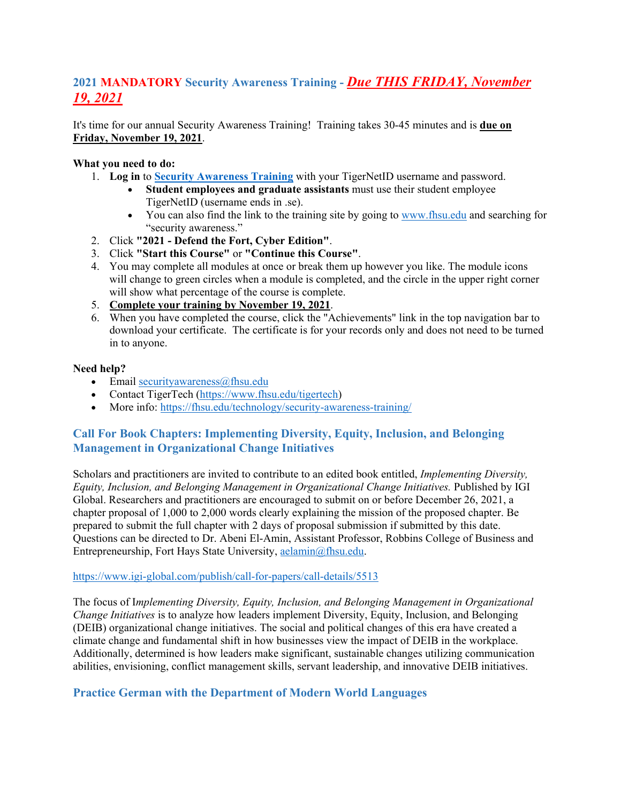# <span id="page-3-0"></span>**2021 MANDATORY Security Awareness Training -** *Due THIS FRIDAY, November 19, 2021*

It's time for our annual Security Awareness Training! Training takes 30-45 minutes and is **due on Friday, November 19, 2021**.

### **What you need to do:**

- 1. **Log in** to **[Security Awareness Training](https://adfs.fhsu.edu/adfs/ls/idpinitiatedsignon.aspx?LoginToRP=https://fhsu.litmos.com/integration/splogin)** with your TigerNetID username and password.
	- **Student employees and graduate assistants** must use their student employee TigerNetID (username ends in .se).
	- You can also find the link to the training site by going to [www.fhsu.edu](http://www.fhsu.edu/) and searching for "security awareness."
- 2. Click **"2021 - Defend the Fort, Cyber Edition"**.
- 3. Click **"Start this Course"** or **"Continue this Course"**.
- 4. You may complete all modules at once or break them up however you like. The module icons will change to green circles when a module is completed, and the circle in the upper right corner will show what percentage of the course is complete.
- 5. **Complete your training by November 19, 2021**.
- 6. When you have completed the course, click the "Achievements" link in the top navigation bar to download your certificate. The certificate is for your records only and does not need to be turned in to anyone.

#### **Need help?**

- Email securityawareness $@$ fhsu.edu
- Contact TigerTech [\(https://www.fhsu.edu/tigertech\)](https://www.fhsu.edu/tigertech)
- <span id="page-3-1"></span>• More info:<https://fhsu.edu/technology/security-awareness-training/>

### **Call For Book Chapters: Implementing Diversity, Equity, Inclusion, and Belonging Management in Organizational Change Initiatives**

Scholars and practitioners are invited to contribute to an edited book entitled, *Implementing Diversity, Equity, Inclusion, and Belonging Management in Organizational Change Initiatives.* Published by IGI Global. Researchers and practitioners are encouraged to submit on or before December 26, 2021, a chapter proposal of 1,000 to 2,000 words clearly explaining the mission of the proposed chapter. Be prepared to submit the full chapter with 2 days of proposal submission if submitted by this date. Questions can be directed to Dr. Abeni El-Amin, Assistant Professor, Robbins College of Business and Entrepreneurship, Fort Hays State University, [aelamin@fhsu.edu.](mailto:aelamin@fhsu.edu)

#### <https://www.igi-global.com/publish/call-for-papers/call-details/5513>

The focus of I*mplementing Diversity, Equity, Inclusion, and Belonging Management in Organizational Change Initiatives* is to analyze how leaders implement Diversity, Equity, Inclusion, and Belonging (DEIB) organizational change initiatives. The social and political changes of this era have created a climate change and fundamental shift in how businesses view the impact of DEIB in the workplace. Additionally, determined is how leaders make significant, sustainable changes utilizing communication abilities, envisioning, conflict management skills, servant leadership, and innovative DEIB initiatives.

# <span id="page-3-2"></span>**Practice German with the Department of Modern World Languages**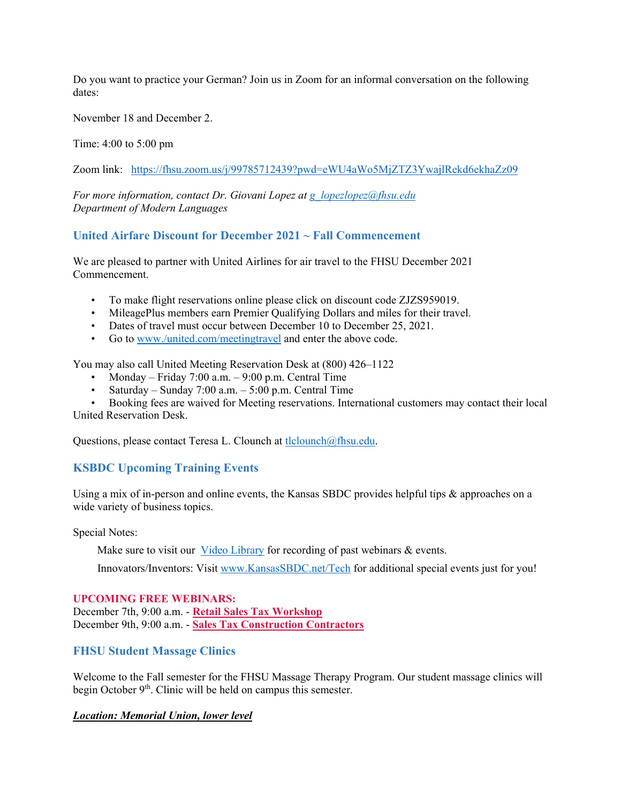Do you want to practice your German? Join us in Zoom for an informal conversation on the following dates:

November 18 and December 2.

Time: 4:00 to 5:00 pm

Zoom link: <https://fhsu.zoom.us/j/99785712439?pwd=eWU4aWo5MjZTZ3YwajlRekd6ekhaZz09>

*For more information, contact Dr. Giovani Lopez at [g\\_lopezlopez@fhsu.edu](mailto:g_lopezlopez@fhsu.edu) Department of Modern Languages* 

### <span id="page-4-0"></span>**United Airfare Discount for December 2021 ~ Fall Commencement**

We are pleased to partner with United Airlines for air travel to the FHSU December 2021 Commencement.

- To make flight reservations online please click on discount code ZJZS959019.
- MileagePlus members earn Premier Qualifying Dollars and miles for their travel.
- Dates of travel must occur between December 10 to December 25, 2021.
- Go to [www./united.com/meetingtravel](http://www./united.com/meetingtravel) and enter the above code.

You may also call United Meeting Reservation Desk at (800) 426–1122

- Monday Friday 7:00 a.m. 9:00 p.m. Central Time
- Saturday Sunday 7:00 a.m.  $5:00$  p.m. Central Time
- Booking fees are waived for Meeting reservations. International customers may contact their local

United Reservation Desk.

Questions, please contact Teresa L. Clounch at [tlclounch@fhsu.edu.](mailto:tlclounch@fhsu.edu)

### <span id="page-4-1"></span>**KSBDC Upcoming Training Events**

Using a mix of in-person and online events, the Kansas SBDC provides helpful tips & approaches on a wide variety of business topics.

Special Notes:

Make sure to visit our Video [Library](https://www.kansassbdc.net/ksbdc-webinars-vimeo) for recording of past webinars  $\&$  events.

Innovators/Inventors: Visit [www.KansasSBDC.net/Tech](https://www.kansassbdc.net/tech) for additional special events just for you!

#### **UPCOMING FREE WEBINARS:**

December 7th, 9:00 a.m. - **Retail Sales Tax [Workshop](https://zoom.us/webinar/register/WN_3HDcSFdxSgCZMNjUqkFHtQ)** December 9th, 9:00 a.m. - **Sales Tax [Construction](https://zoom.us/webinar/register/WN_NPC4PXvtTYmMakPkEsqQkA) Contractors**

### <span id="page-4-2"></span>**FHSU Student Massage Clinics**

Welcome to the Fall semester for the FHSU Massage Therapy Program. Our student massage clinics will begin October  $9<sup>th</sup>$ . Clinic will be held on campus this semester.

#### *Location: Memorial Union, lower level*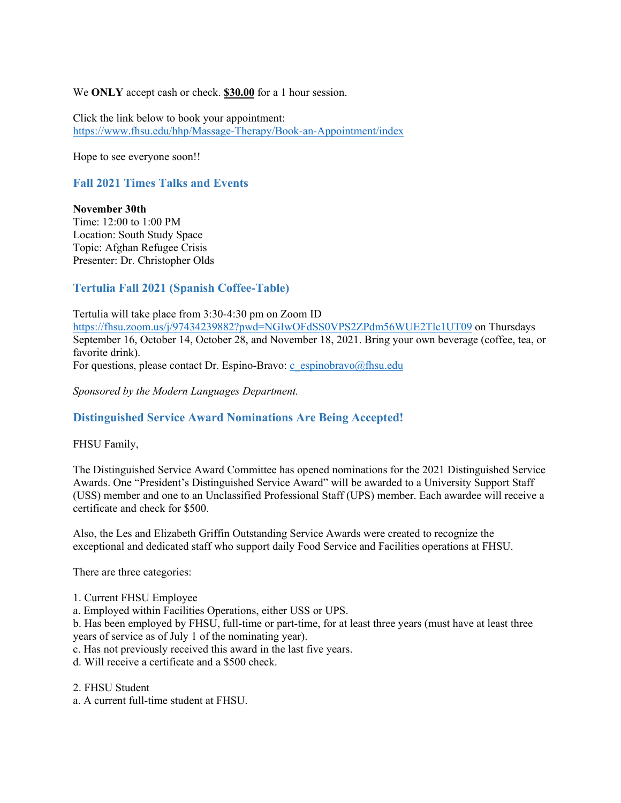We **ONLY** accept cash or check. **\$30.00** for a 1 hour session.

Click the link below to book your appointment: <https://www.fhsu.edu/hhp/Massage-Therapy/Book-an-Appointment/index>

Hope to see everyone soon!!

### <span id="page-5-0"></span>**Fall 2021 Times Talks and Events**

#### **November 30th**

Time: 12:00 to 1:00 PM Location: South Study Space Topic: Afghan Refugee Crisis Presenter: Dr. Christopher Olds

### <span id="page-5-1"></span>**Tertulia Fall 2021 (Spanish Coffee-Table)**

Tertulia will take place from 3:30-4:30 pm on Zoom ID <https://fhsu.zoom.us/j/97434239882?pwd=NGIwOFdSS0VPS2ZPdm56WUE2Tlc1UT09> on Thursdays September 16, October 14, October 28, and November 18, 2021. Bring your own beverage (coffee, tea, or favorite drink). For questions, please contact Dr. Espino-Bravo: [c\\_espinobravo@fhsu.edu](mailto:c_espinobravo@fhsu.edu)

*Sponsored by the Modern Languages Department.*

### <span id="page-5-2"></span>**Distinguished Service Award Nominations Are Being Accepted!**

#### FHSU Family,

The Distinguished Service Award Committee has opened nominations for the 2021 Distinguished Service Awards. One "President's Distinguished Service Award" will be awarded to a University Support Staff (USS) member and one to an Unclassified Professional Staff (UPS) member. Each awardee will receive a certificate and check for \$500.

Also, the Les and Elizabeth Griffin Outstanding Service Awards were created to recognize the exceptional and dedicated staff who support daily Food Service and Facilities operations at FHSU.

There are three categories:

- 1. Current FHSU Employee
- a. Employed within Facilities Operations, either USS or UPS.

b. Has been employed by FHSU, full-time or part-time, for at least three years (must have at least three years of service as of July 1 of the nominating year).

c. Has not previously received this award in the last five years.

d. Will receive a certificate and a \$500 check.

2. FHSU Student

a. A current full-time student at FHSU.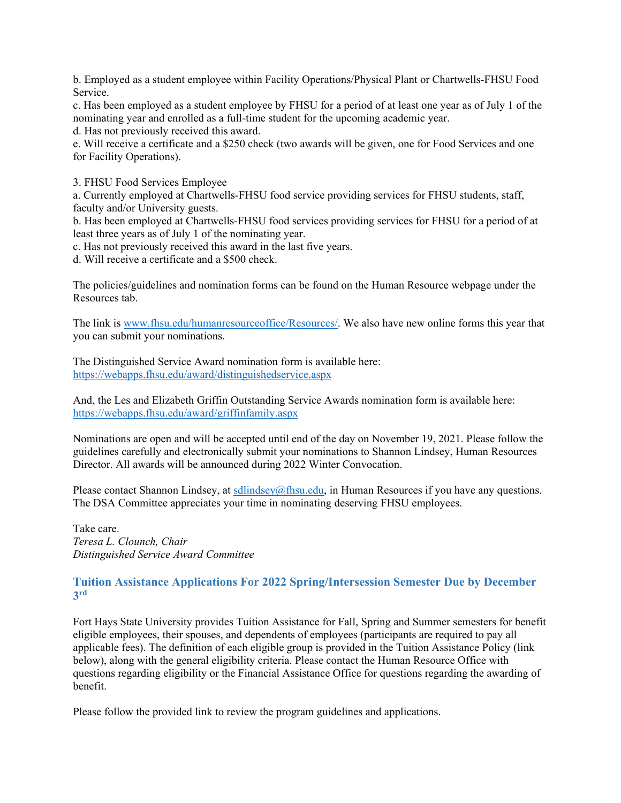b. Employed as a student employee within Facility Operations/Physical Plant or Chartwells-FHSU Food Service.

c. Has been employed as a student employee by FHSU for a period of at least one year as of July 1 of the nominating year and enrolled as a full-time student for the upcoming academic year.

d. Has not previously received this award.

e. Will receive a certificate and a \$250 check (two awards will be given, one for Food Services and one for Facility Operations).

3. FHSU Food Services Employee

a. Currently employed at Chartwells-FHSU food service providing services for FHSU students, staff, faculty and/or University guests.

b. Has been employed at Chartwells-FHSU food services providing services for FHSU for a period of at least three years as of July 1 of the nominating year.

c. Has not previously received this award in the last five years.

d. Will receive a certificate and a \$500 check.

The policies/guidelines and nomination forms can be found on the Human Resource webpage under the Resources tab.

The link is [www.fhsu.edu/humanresourceoffice/Resources/.](http://www.fhsu.edu/humanresourceoffice/Resources/) We also have new online forms this year that you can submit your nominations.

The Distinguished Service Award nomination form is available here: <https://webapps.fhsu.edu/award/distinguishedservice.aspx>

And, the Les and Elizabeth Griffin Outstanding Service Awards nomination form is available here: <https://webapps.fhsu.edu/award/griffinfamily.aspx>

Nominations are open and will be accepted until end of the day on November 19, 2021. Please follow the guidelines carefully and electronically submit your nominations to Shannon Lindsey, Human Resources Director. All awards will be announced during 2022 Winter Convocation.

Please contact Shannon Lindsey, at [sdlindsey@fhsu.edu,](mailto:sdlindsey@fhsu.edu) in Human Resources if you have any questions. The DSA Committee appreciates your time in nominating deserving FHSU employees.

Take care. *Teresa L. Clounch, Chair Distinguished Service Award Committee*

### <span id="page-6-0"></span>**Tuition Assistance Applications For 2022 Spring/Intersession Semester Due by December 3rd**

Fort Hays State University provides Tuition Assistance for Fall, Spring and Summer semesters for benefit eligible employees, their spouses, and dependents of employees (participants are required to pay all applicable fees). The definition of each eligible group is provided in the Tuition Assistance Policy (link below), along with the general eligibility criteria. Please contact the Human Resource Office with questions regarding eligibility or the Financial Assistance Office for questions regarding the awarding of benefit.

Please follow the provided link to review the program guidelines and applications.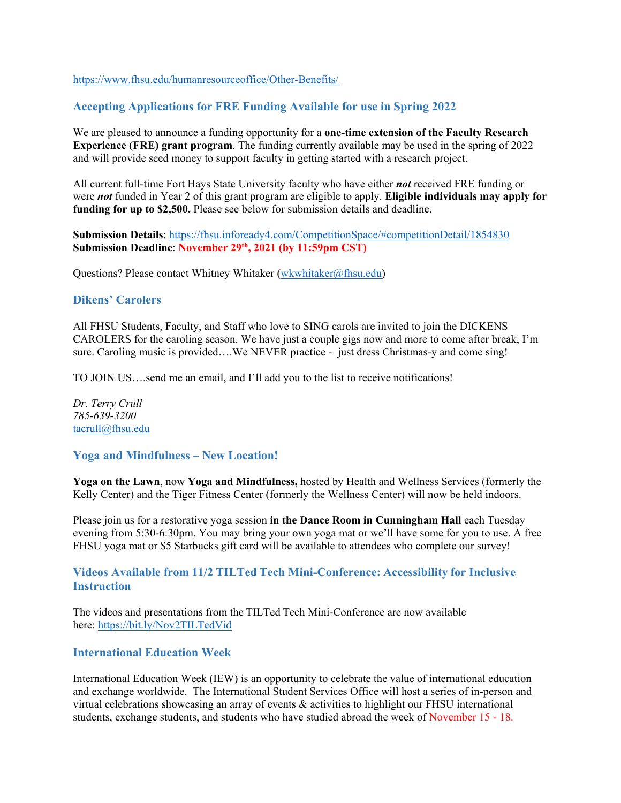<https://www.fhsu.edu/humanresourceoffice/Other-Benefits/>

### <span id="page-7-0"></span>**Accepting Applications for FRE Funding Available for use in Spring 2022**

We are pleased to announce a funding opportunity for a **one-time extension of the Faculty Research Experience (FRE) grant program**. The funding currently available may be used in the spring of 2022 and will provide seed money to support faculty in getting started with a research project.

All current full-time Fort Hays State University faculty who have either *not* received FRE funding or were *not* funded in Year 2 of this grant program are eligible to apply. **Eligible individuals may apply for funding for up to \$2,500.** Please see below for submission details and deadline.

**Submission Details**:<https://fhsu.infoready4.com/CompetitionSpace/#competitionDetail/1854830> **Submission Deadline**: **November 29th, 2021 (by 11:59pm CST)**

Questions? Please contact Whitney Whitaker [\(wkwhitaker@fhsu.edu\)](mailto:wkwhitaker@fhsu.edu)

### <span id="page-7-1"></span>**Dikens' Carolers**

All FHSU Students, Faculty, and Staff who love to SING carols are invited to join the DICKENS CAROLERS for the caroling season. We have just a couple gigs now and more to come after break, I'm sure. Caroling music is provided....We NEVER practice - just dress Christmas-y and come sing!

TO JOIN US….send me an email, and I'll add you to the list to receive notifications!

*Dr. Terry Crull 785-639-3200* [tacrull@fhsu.edu](mailto:tacrull@fhsu.edu)

#### <span id="page-7-2"></span>**Yoga and Mindfulness – New Location!**

**Yoga on the Lawn**, now **Yoga and Mindfulness,** hosted by Health and Wellness Services (formerly the Kelly Center) and the Tiger Fitness Center (formerly the Wellness Center) will now be held indoors.

Please join us for a restorative yoga session **in the Dance Room in Cunningham Hall** each Tuesday evening from 5:30-6:30pm. You may bring your own yoga mat or we'll have some for you to use. A free FHSU yoga mat or \$5 Starbucks gift card will be available to attendees who complete our survey!

### <span id="page-7-3"></span>**Videos Available from 11/2 TILTed Tech Mini-Conference: Accessibility for Inclusive Instruction**

The videos and presentations from the TILTed Tech Mini-Conference are now available here: <https://bit.ly/Nov2TILTedVid>

#### <span id="page-7-4"></span>**International Education Week**

International Education Week (IEW) is an opportunity to celebrate the value of international education and exchange worldwide. The International Student Services Office will host a series of in-person and virtual celebrations showcasing an array of events & activities to highlight our FHSU international students, exchange students, and students who have studied abroad the week of November 15 - 18.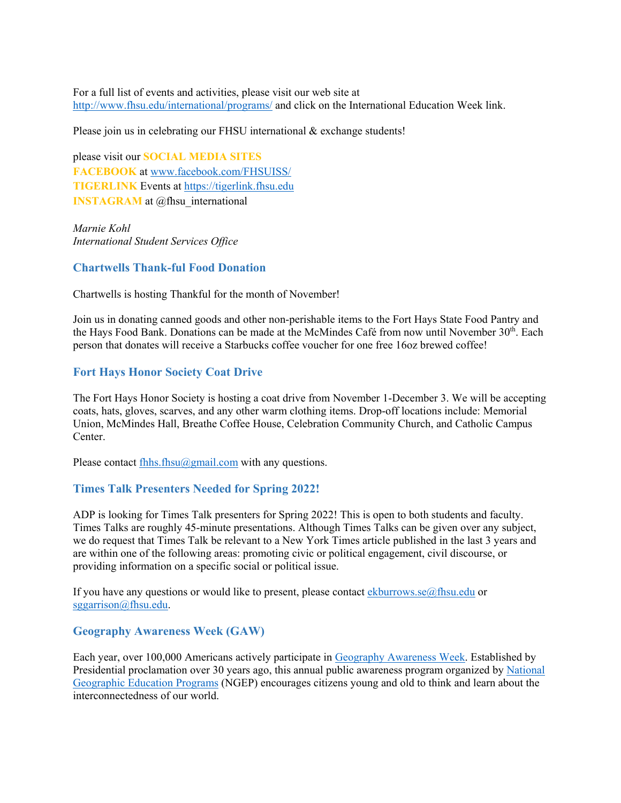For a full list of events and activities, please visit our web site at <http://www.fhsu.edu/international/programs/> and click on the International Education Week link.

Please join us in celebrating our FHSU international & exchange students!

please visit our **SOCIAL MEDIA SITES FACEBOOK** at [www.facebook.com/FHSUISS/](http://www.facebook.com/FHSUISS/) **TIGERLINK** Events at [https://tigerlink.fhsu.edu](https://tigerlink.fhsu.edu/) **INSTAGRAM** at @fhsu international

*Marnie Kohl International Student Services Office*

#### <span id="page-8-0"></span>**Chartwells Thank-ful Food Donation**

Chartwells is hosting Thankful for the month of November!

Join us in donating canned goods and other non-perishable items to the Fort Hays State Food Pantry and the Hays Food Bank. Donations can be made at the McMindes Café from now until November  $30<sup>th</sup>$ . Each person that donates will receive a Starbucks coffee voucher for one free 16oz brewed coffee!

#### <span id="page-8-1"></span>**Fort Hays Honor Society Coat Drive**

The Fort Hays Honor Society is hosting a coat drive from November 1-December 3. We will be accepting coats, hats, gloves, scarves, and any other warm clothing items. Drop-off locations include: Memorial Union, McMindes Hall, Breathe Coffee House, Celebration Community Church, and Catholic Campus Center.

Please contact  $\underline{fhhs.fhsu@gmail.com}$  with any questions.

#### <span id="page-8-2"></span>**Times Talk Presenters Needed for Spring 2022!**

ADP is looking for Times Talk presenters for Spring 2022! This is open to both students and faculty. Times Talks are roughly 45-minute presentations. Although Times Talks can be given over any subject, we do request that Times Talk be relevant to a New York Times article published in the last 3 years and are within one of the following areas: promoting civic or political engagement, civil discourse, or providing information on a specific social or political issue.

If you have any questions or would like to present, please contact ekburrows.se $@$ fhsu.edu or [sggarrison@fhsu.edu.](mailto:sggarrison@fhsu.edu)

#### <span id="page-8-3"></span>**Geography Awareness Week (GAW)**

Each year, over 100,000 Americans actively participate in [Geography Awareness Week.](http://nationalgeographic.org/education/programs/geographyawarenessweek/) Established by Presidential proclamation over 30 years ago, this annual public awareness program organized by [National](http://education.nationalgeographic.com/education/?ar_a=1)  [Geographic Education Programs](http://education.nationalgeographic.com/education/?ar_a=1) (NGEP) encourages citizens young and old to think and learn about the interconnectedness of our world.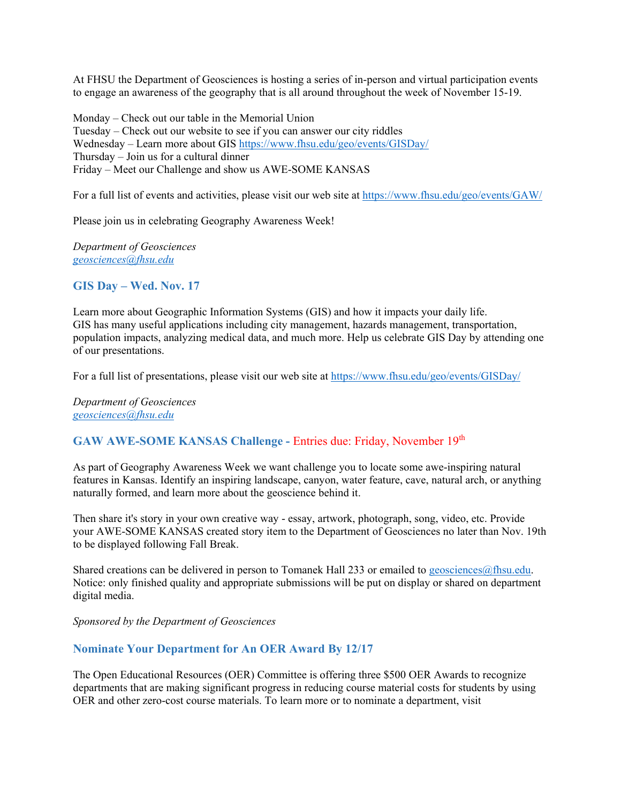At FHSU the Department of Geosciences is hosting a series of in-person and virtual participation events to engage an awareness of the geography that is all around throughout the week of November 15-19.

Monday – Check out our table in the Memorial Union Tuesday – Check out our website to see if you can answer our city riddles Wednesday – Learn more about GI[S https://www.fhsu.edu/geo/events/GISDay/](https://www.fhsu.edu/geo/events/GISDay/) Thursday – Join us for a cultural dinner Friday – Meet our Challenge and show us AWE-SOME KANSAS

For a full list of events and activities, please visit our web site at<https://www.fhsu.edu/geo/events/GAW/>

Please join us in celebrating Geography Awareness Week!

*Department of Geosciences [geosciences@fhsu.edu](mailto:geosciences@fhsu.edu)*

#### <span id="page-9-0"></span>**GIS Day – Wed. Nov. 17**

Learn more about Geographic Information Systems (GIS) and how it impacts your daily life. GIS has many useful applications including city management, hazards management, transportation, population impacts, analyzing medical data, and much more. Help us celebrate GIS Day by attending one of our presentations.

For a full list of presentations, please visit our web site at<https://www.fhsu.edu/geo/events/GISDay/>

*Department of Geosciences [geosciences@fhsu.edu](mailto:geosciences@fhsu.edu)*

### <span id="page-9-1"></span>**GAW AWE-SOME KANSAS Challenge -** Entries due: Friday, November 19th

As part of Geography Awareness Week we want challenge you to locate some awe-inspiring natural features in Kansas. Identify an inspiring landscape, canyon, water feature, cave, natural arch, or anything naturally formed, and learn more about the geoscience behind it.

Then share it's story in your own creative way - essay, artwork, photograph, song, video, etc. Provide your AWE-SOME KANSAS created story item to the Department of Geosciences no later than Nov. 19th to be displayed following Fall Break.

Shared creations can be delivered in person to Tomanek Hall 233 or emailed to geosciences  $\omega$  fhsu.edu. Notice: only finished quality and appropriate submissions will be put on display or shared on department digital media.

*Sponsored by the Department of Geosciences*

#### <span id="page-9-2"></span>**Nominate Your Department for An OER Award By 12/17**

The Open Educational Resources (OER) Committee is offering three \$500 OER Awards to recognize departments that are making significant progress in reducing course material costs for students by using OER and other zero-cost course materials. To learn more or to nominate a department, visit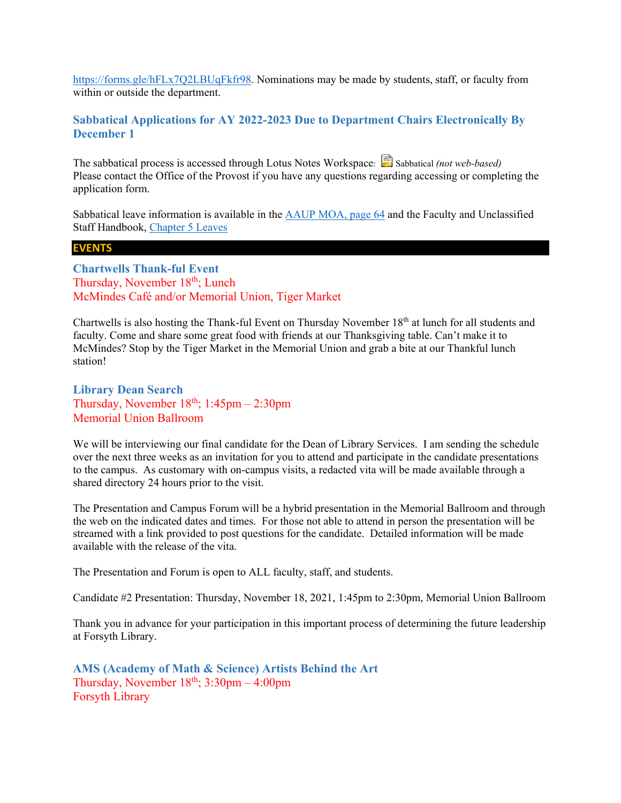[https://forms.gle/hFLx7Q2LBUqFkfr98.](https://forms.gle/hFLx7Q2LBUqFkfr98) Nominations may be made by students, staff, or faculty from within or outside the department.

### <span id="page-10-0"></span>**Sabbatical Applications for AY 2022-2023 Due to Department Chairs Electronically By December 1**

The sabbatical process is accessed through Lotus Notes Workspace: Sabbatical *(not web-based)* Please contact the Office of the Provost if you have any questions regarding accessing or completing the application form.

Sabbatical leave information is available in the [AAUP MOA, page 64](https://www.fhsu.edu/fhsu-aaup/moa-2020.pdf) and the Faculty and Unclassified Staff Handbook, [Chapter 5 Leaves](https://www.fhsu.edu/academic/provost/handbook/ch_5_leaves/)

#### **EVENTS**

<span id="page-10-1"></span>**Chartwells Thank-ful Event** Thursday, November 18<sup>th</sup>; Lunch McMindes Café and/or Memorial Union, Tiger Market

Chartwells is also hosting the Thank-ful Event on Thursday November 18<sup>th</sup> at lunch for all students and faculty. Come and share some great food with friends at our Thanksgiving table. Can't make it to McMindes? Stop by the Tiger Market in the Memorial Union and grab a bite at our Thankful lunch station!

<span id="page-10-2"></span>**Library Dean Search** Thursday, November  $18<sup>th</sup>$ ;  $1:45<sub>pm</sub> - 2:30<sub>pm</sub>$ Memorial Union Ballroom

We will be interviewing our final candidate for the Dean of Library Services. I am sending the schedule over the next three weeks as an invitation for you to attend and participate in the candidate presentations to the campus. As customary with on-campus visits, a redacted vita will be made available through a shared directory 24 hours prior to the visit.

The Presentation and Campus Forum will be a hybrid presentation in the Memorial Ballroom and through the web on the indicated dates and times. For those not able to attend in person the presentation will be streamed with a link provided to post questions for the candidate. Detailed information will be made available with the release of the vita.

The Presentation and Forum is open to ALL faculty, staff, and students.

Candidate #2 Presentation: Thursday, November 18, 2021, 1:45pm to 2:30pm, Memorial Union Ballroom

Thank you in advance for your participation in this important process of determining the future leadership at Forsyth Library.

<span id="page-10-3"></span>**AMS (Academy of Math & Science) Artists Behind the Art** Thursday, November  $18<sup>th</sup>$ ;  $3:30pm - 4:00pm$ Forsyth Library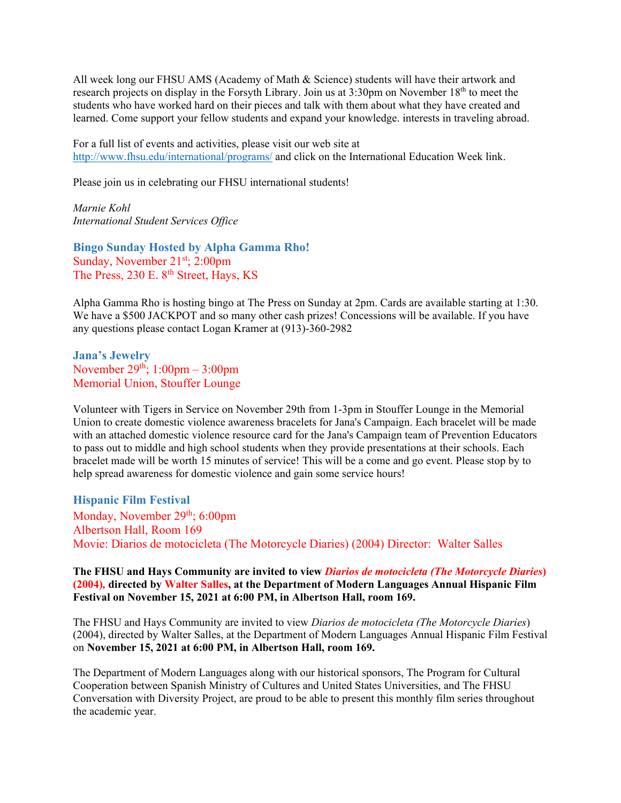All week long our FHSU AMS (Academy of Math & Science) students will have their artwork and research projects on display in the Forsyth Library. Join us at 3:30pm on November 18<sup>th</sup> to meet the students who have worked hard on their pieces and talk with them about what they have created and learned. Come support your fellow students and expand your knowledge. interests in traveling abroad.

For a full list of events and activities, please visit our web site at <http://www.fhsu.edu/international/programs/> and click on the International Education Week link.

Please join us in celebrating our FHSU international students!

*Marnie Kohl International Student Services Office*

<span id="page-11-0"></span>**Bingo Sunday Hosted by Alpha Gamma Rho!** Sunday, November  $21<sup>st</sup>$ ; 2:00pm The Press, 230 E. 8<sup>th</sup> Street, Hays, KS

Alpha Gamma Rho is hosting bingo at The Press on Sunday at 2pm. Cards are available starting at 1:30. We have a \$500 JACKPOT and so many other cash prizes! Concessions will be available. If you have any questions please contact Logan Kramer at (913)-360-2982

<span id="page-11-1"></span>**Jana's Jewelry** November  $29<sup>th</sup>$ ; 1:00pm – 3:00pm Memorial Union, Stouffer Lounge

Volunteer with Tigers in Service on November 29th from 1-3pm in Stouffer Lounge in the Memorial Union to create domestic violence awareness bracelets for Jana's Campaign. Each bracelet will be made with an attached domestic violence resource card for the Jana's Campaign team of Prevention Educators to pass out to middle and high school students when they provide presentations at their schools. Each bracelet made will be worth 15 minutes of service! This will be a come and go event. Please stop by to help spread awareness for domestic violence and gain some service hours!

<span id="page-11-2"></span>**Hispanic Film Festival** Monday, November 29<sup>th</sup>; 6:00pm Albertson Hall, Room 169 Movie: Diarios de motocicleta (The Motorcycle Diaries) (2004) Director: Walter Salles

**The FHSU and Hays Community are invited to view** *Diarios de motocicleta (The Motorcycle Diaries***) (2004)***,* **directed by Walter Salles, at the Department of Modern Languages Annual Hispanic Film Festival on November 15, 2021 at 6:00 PM, in Albertson Hall, room 169.**

The FHSU and Hays Community are invited to view *Diarios de motocicleta (The Motorcycle Diaries*) (2004), directed by Walter Salles, at the Department of Modern Languages Annual Hispanic Film Festival on **November 15, 2021 at 6:00 PM, in Albertson Hall, room 169.** 

The Department of Modern Languages along with our historical sponsors, The Program for Cultural Cooperation between Spanish Ministry of Cultures and United States Universities, and The FHSU Conversation with Diversity Project, are proud to be able to present this monthly film series throughout the academic year.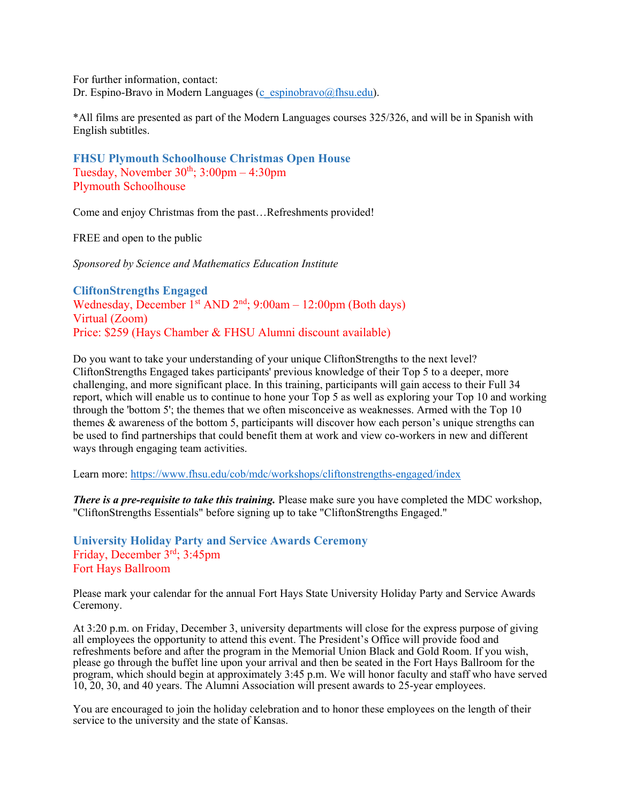For further information, contact: Dr. Espino-Bravo in Modern Languages [\(c\\_espinobravo@fhsu.edu\)](mailto:c_espinobravo@fhsu.edu).

\*All films are presented as part of the Modern Languages courses 325/326, and will be in Spanish with English subtitles.

<span id="page-12-0"></span>**FHSU Plymouth Schoolhouse Christmas Open House** Tuesday, November  $30<sup>th</sup>$ ;  $3:00$ pm –  $4:30$ pm Plymouth Schoolhouse

Come and enjoy Christmas from the past…Refreshments provided!

FREE and open to the public

*Sponsored by Science and Mathematics Education Institute*

<span id="page-12-1"></span>**CliftonStrengths Engaged** Wednesday, December 1<sup>st</sup> AND  $2<sup>nd</sup>$ ; 9:00am – 12:00pm (Both days) Virtual (Zoom) Price: \$259 (Hays Chamber & FHSU Alumni discount available)

Do you want to take your understanding of your unique CliftonStrengths to the next level? CliftonStrengths Engaged takes participants' previous knowledge of their Top 5 to a deeper, more challenging, and more significant place. In this training, participants will gain access to their Full 34 report, which will enable us to continue to hone your Top 5 as well as exploring your Top 10 and working through the 'bottom 5'; the themes that we often misconceive as weaknesses. Armed with the Top 10 themes & awareness of the bottom 5, participants will discover how each person's unique strengths can be used to find partnerships that could benefit them at work and view co-workers in new and different ways through engaging team activities.

Learn more:<https://www.fhsu.edu/cob/mdc/workshops/cliftonstrengths-engaged/index>

*There is a pre-requisite to take this training.* Please make sure you have completed the MDC workshop, "CliftonStrengths Essentials" before signing up to take "CliftonStrengths Engaged."

<span id="page-12-3"></span><span id="page-12-2"></span>**University Holiday Party and Service Awards Ceremony** Friday, December 3rd; 3:45pm Fort Hays Ballroom

Please mark your calendar for the annual Fort Hays State University Holiday Party and Service Awards Ceremony.

At 3:20 p.m. on Friday, December 3, university departments will close for the express purpose of giving all employees the opportunity to attend this event. The President's Office will provide food and refreshments before and after the program in the Memorial Union Black and Gold Room. If you wish, please go through the buffet line upon your arrival and then be seated in the Fort Hays Ballroom for the program, which should begin at approximately 3:45 p.m. We will honor faculty and staff who have served 10, 20, 30, and 40 years. The Alumni Association will present awards to 25-year employees.

You are encouraged to join the holiday celebration and to honor these employees on the length of their service to the university and the state of Kansas.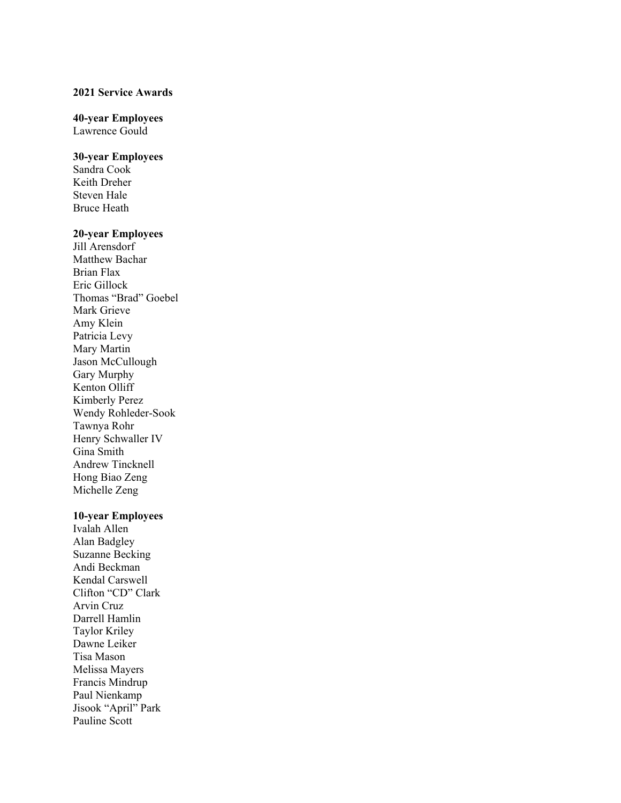#### **2021 Service Awards**

#### **40-year Employees**

Lawrence Gould

#### **30-year Employees**

Sandra Cook Keith Dreher Steven Hale Bruce Heath

#### **20-year Employees**

Jill Arensdorf Matthew Bachar Brian Flax Eric Gillock Thomas "Brad" Goebel Mark Grieve Amy Klein Patricia Levy Mary Martin Jason McCullough Gary Murphy Kenton Olliff Kimberly Perez Wendy Rohleder-Sook Tawnya Rohr Henry Schwaller IV Gina Smith Andrew Tincknell Hong Biao Zeng Michelle Zeng

#### **10-year Employees**

Ivalah Allen Alan Badgley Suzanne Becking Andi Beckman Kendal Carswell Clifton "CD" Clark Arvin Cruz Darrell Hamlin Taylor Kriley Dawne Leiker Tisa Mason Melissa Mayers Francis Mindrup Paul Nienkamp Jisook "April" Park Pauline Scott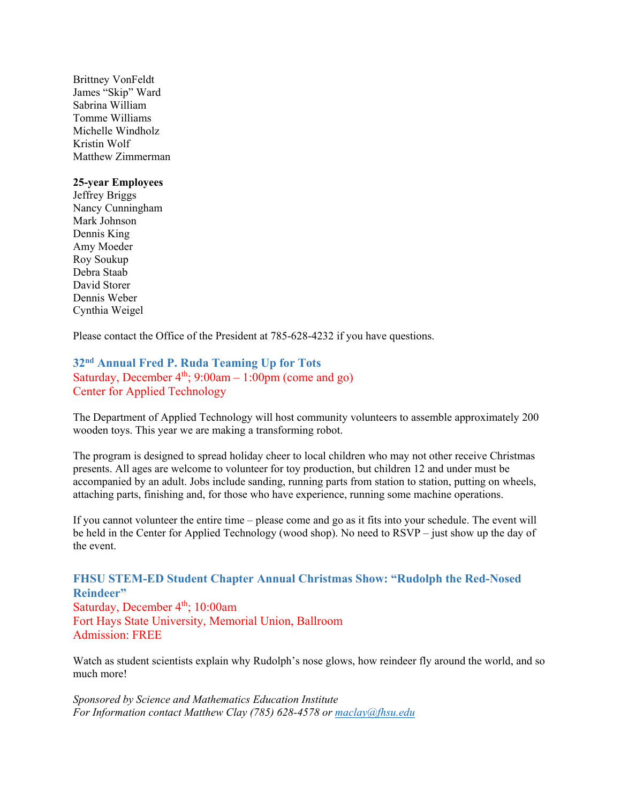Brittney VonFeldt James "Skip" Ward Sabrina William Tomme Williams Michelle Windholz Kristin Wolf Matthew Zimmerman

#### **25-year Employees**

Jeffrey Briggs Nancy Cunningham Mark Johnson Dennis King Amy Moeder Roy Soukup Debra Staab David Storer Dennis Weber Cynthia Weigel

Please contact the Office of the President at 785-628-4232 if you have questions.

**32nd Annual Fred P. Ruda Teaming Up for Tots** Saturday, December  $4<sup>th</sup>$ ; 9:00am – 1:00pm (come and go) Center for Applied Technology

The Department of Applied Technology will host community volunteers to assemble approximately 200 wooden toys. This year we are making a transforming robot.

The program is designed to spread holiday cheer to local children who may not other receive Christmas presents. All ages are welcome to volunteer for toy production, but children 12 and under must be accompanied by an adult. Jobs include sanding, running parts from station to station, putting on wheels, attaching parts, finishing and, for those who have experience, running some machine operations.

If you cannot volunteer the entire time – please come and go as it fits into your schedule. The event will be held in the Center for Applied Technology (wood shop). No need to RSVP – just show up the day of the event.

<span id="page-14-0"></span>**FHSU STEM-ED Student Chapter Annual Christmas Show: "Rudolph the Red-Nosed Reindeer"** Saturday, December 4<sup>th</sup>; 10:00am Fort Hays State University, Memorial Union, Ballroom Admission: FREE

Watch as student scientists explain why Rudolph's nose glows, how reindeer fly around the world, and so much more!

*Sponsored by Science and Mathematics Education Institute For Information contact Matthew Clay (785) 628-4578 or [maclay@fhsu.edu](mailto:maclay@fhsu.edu)*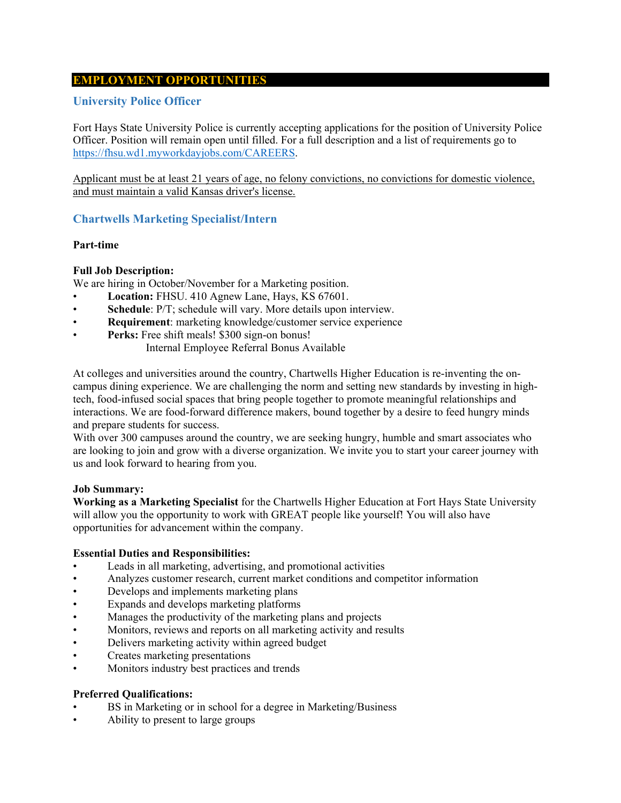### **EMPLOYMENT OPPORTUNITIES**

### <span id="page-15-0"></span>**University Police Officer**

Fort Hays State University Police is currently accepting applications for the position of University Police Officer. Position will remain open until filled. For a full description and a list of requirements go to [https://fhsu.wd1.myworkdayjobs.com/CAREERS.](https://fhsu.wd1.myworkdayjobs.com/CAREERS)

Applicant must be at least 21 years of age, no felony convictions, no convictions for domestic violence, and must maintain a valid Kansas driver's license.

### <span id="page-15-1"></span>**Chartwells Marketing Specialist/Intern**

#### **Part-time**

### **Full Job Description:**

We are hiring in October/November for a Marketing position.

- **Location:** FHSU. 410 Agnew Lane, Hays, KS 67601.
- Schedule: P/T; schedule will vary. More details upon interview.
- **Requirement**: marketing knowledge/customer service experience
- Perks: Free shift meals! \$300 sign-on bonus!
	- Internal Employee Referral Bonus Available

At colleges and universities around the country, Chartwells Higher Education is re-inventing the oncampus dining experience. We are challenging the norm and setting new standards by investing in hightech, food-infused social spaces that bring people together to promote meaningful relationships and interactions. We are food-forward difference makers, bound together by a desire to feed hungry minds and prepare students for success.

With over 300 campuses around the country, we are seeking hungry, humble and smart associates who are looking to join and grow with a diverse organization. We invite you to start your career journey with us and look forward to hearing from you.

#### **Job Summary:**

**Working as a Marketing Specialist** for the Chartwells Higher Education at Fort Hays State University will allow you the opportunity to work with GREAT people like yourself! You will also have opportunities for advancement within the company.

#### **Essential Duties and Responsibilities:**

- Leads in all marketing, advertising, and promotional activities
- Analyzes customer research, current market conditions and competitor information
- Develops and implements marketing plans
- Expands and develops marketing platforms
- Manages the productivity of the marketing plans and projects
- Monitors, reviews and reports on all marketing activity and results
- Delivers marketing activity within agreed budget
- Creates marketing presentations
- Monitors industry best practices and trends

#### **Preferred Qualifications:**

- BS in Marketing or in school for a degree in Marketing/Business
- Ability to present to large groups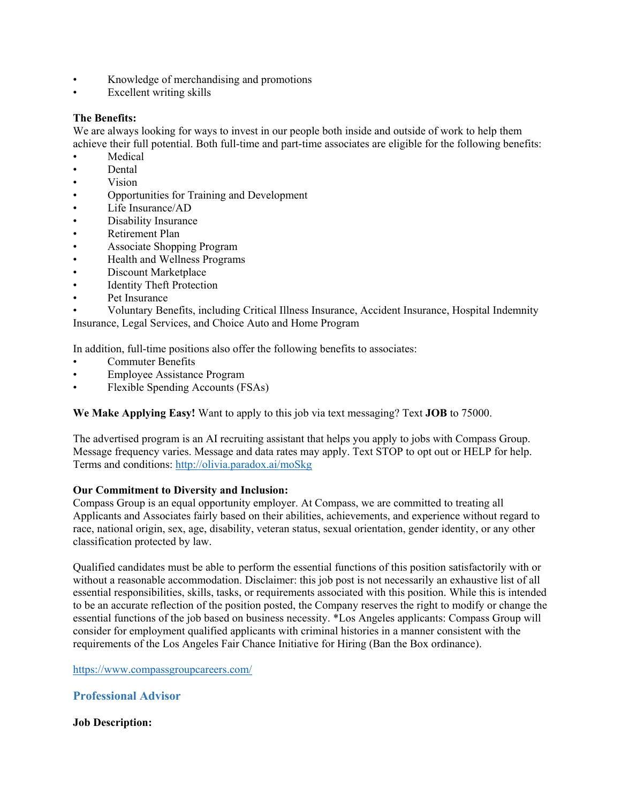- Knowledge of merchandising and promotions
- Excellent writing skills

#### **The Benefits:**

We are always looking for ways to invest in our people both inside and outside of work to help them achieve their full potential. Both full-time and part-time associates are eligible for the following benefits:

- **Medical**
- Dental
- Vision
- Opportunities for Training and Development
- Life Insurance/AD
- Disability Insurance
- Retirement Plan
- Associate Shopping Program
- Health and Wellness Programs
- Discount Marketplace
- **Identity Theft Protection**
- Pet Insurance

• Voluntary Benefits, including Critical Illness Insurance, Accident Insurance, Hospital Indemnity Insurance, Legal Services, and Choice Auto and Home Program

In addition, full-time positions also offer the following benefits to associates:

- Commuter Benefits
- Employee Assistance Program
- Flexible Spending Accounts (FSAs)

**We Make Applying Easy!** Want to apply to this job via text messaging? Text **JOB** to 75000.

The advertised program is an AI recruiting assistant that helps you apply to jobs with Compass Group. Message frequency varies. Message and data rates may apply. Text STOP to opt out or HELP for help. Terms and conditions:<http://olivia.paradox.ai/moSkg>

#### **Our Commitment to Diversity and Inclusion:**

Compass Group is an equal opportunity employer. At Compass, we are committed to treating all Applicants and Associates fairly based on their abilities, achievements, and experience without regard to race, national origin, sex, age, disability, veteran status, sexual orientation, gender identity, or any other classification protected by law.

Qualified candidates must be able to perform the essential functions of this position satisfactorily with or without a reasonable accommodation. Disclaimer: this job post is not necessarily an exhaustive list of all essential responsibilities, skills, tasks, or requirements associated with this position. While this is intended to be an accurate reflection of the position posted, the Company reserves the right to modify or change the essential functions of the job based on business necessity. \*Los Angeles applicants: Compass Group will consider for employment qualified applicants with criminal histories in a manner consistent with the requirements of the Los Angeles Fair Chance Initiative for Hiring (Ban the Box ordinance).

[https://www.compassgroupcareers.com/](https://linkprotect.cudasvc.com/url?a=https%3a%2f%2fwww.compassgroupcareers.com%2f&c=E,1,dqBPzxPeu04qBp_awRQDcKvTz0_Bh_14y6sDWIVSV6p3JAUoEzQEK8sN3Y8cscvEUKnVFTLlkI9UinQbd_SreqBF-3Pt3mXb7H1x0XTEa2piORU,&typo=1)

# <span id="page-16-0"></span>**Professional Advisor**

### **Job Description:**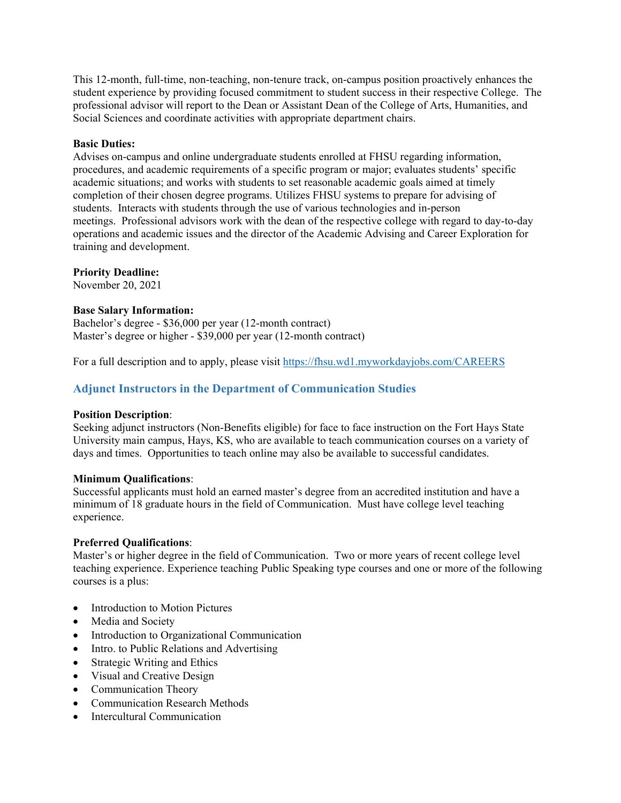This 12-month, full-time, non-teaching, non-tenure track, on-campus position proactively enhances the student experience by providing focused commitment to student success in their respective College. The professional advisor will report to the Dean or Assistant Dean of the College of Arts, Humanities, and Social Sciences and coordinate activities with appropriate department chairs.

#### **Basic Duties:**

Advises on-campus and online undergraduate students enrolled at FHSU regarding information, procedures, and academic requirements of a specific program or major; evaluates students' specific academic situations; and works with students to set reasonable academic goals aimed at timely completion of their chosen degree programs. Utilizes FHSU systems to prepare for advising of students. Interacts with students through the use of various technologies and in-person meetings. Professional advisors work with the dean of the respective college with regard to day-to-day operations and academic issues and the director of the Academic Advising and Career Exploration for training and development.

### **Priority Deadline:**

November 20, 2021

### **Base Salary Information:**

Bachelor's degree - \$36,000 per year (12-month contract) Master's degree or higher - \$39,000 per year (12-month contract)

For a full description and to apply, please visit<https://fhsu.wd1.myworkdayjobs.com/CAREERS>

### <span id="page-17-0"></span>**Adjunct Instructors in the Department of Communication Studies**

#### **Position Description**:

Seeking adjunct instructors (Non-Benefits eligible) for face to face instruction on the Fort Hays State University main campus, Hays, KS, who are available to teach communication courses on a variety of days and times. Opportunities to teach online may also be available to successful candidates.

#### **Minimum Qualifications**:

Successful applicants must hold an earned master's degree from an accredited institution and have a minimum of 18 graduate hours in the field of Communication. Must have college level teaching experience.

#### **Preferred Qualifications**:

Master's or higher degree in the field of Communication. Two or more years of recent college level teaching experience. Experience teaching Public Speaking type courses and one or more of the following courses is a plus:

- Introduction to Motion Pictures
- Media and Society
- Introduction to Organizational Communication
- Intro. to Public Relations and Advertising
- Strategic Writing and Ethics
- Visual and Creative Design
- Communication Theory
- Communication Research Methods
- Intercultural Communication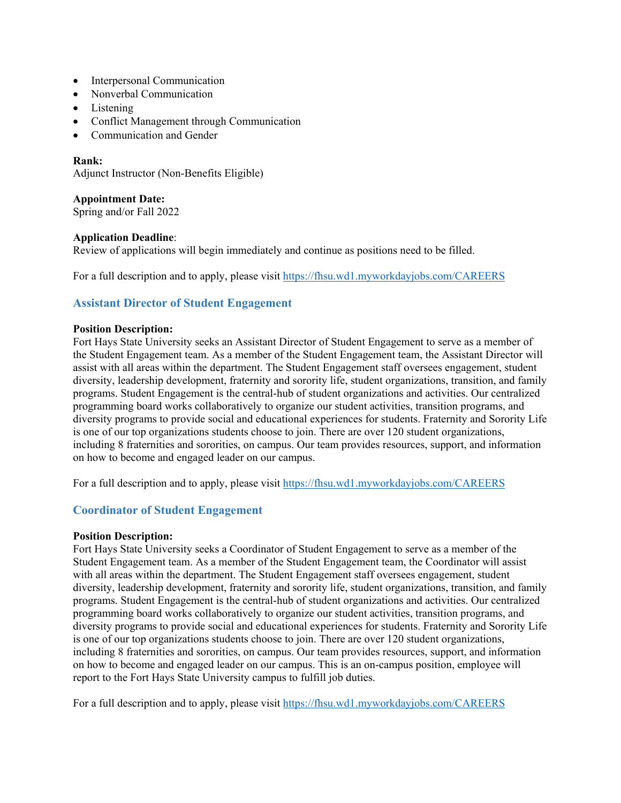- Interpersonal Communication
- Nonverbal Communication
- Listening
- Conflict Management through Communication
- Communication and Gender

**Rank:**

Adjunct Instructor (Non-Benefits Eligible)

**Appointment Date:** Spring and/or Fall 2022

#### **Application Deadline**:

Review of applications will begin immediately and continue as positions need to be filled.

For a full description and to apply, please visit<https://fhsu.wd1.myworkdayjobs.com/CAREERS>

### <span id="page-18-0"></span>**Assistant Director of Student Engagement**

#### **Position Description:**

Fort Hays State University seeks an Assistant Director of Student Engagement to serve as a member of the Student Engagement team. As a member of the Student Engagement team, the Assistant Director will assist with all areas within the department. The Student Engagement staff oversees engagement, student diversity, leadership development, fraternity and sorority life, student organizations, transition, and family programs. Student Engagement is the central-hub of student organizations and activities. Our centralized programming board works collaboratively to organize our student activities, transition programs, and diversity programs to provide social and educational experiences for students. Fraternity and Sorority Life is one of our top organizations students choose to join. There are over 120 student organizations, including 8 fraternities and sororities, on campus. Our team provides resources, support, and information on how to become and engaged leader on our campus.

For a full description and to apply, please visit<https://fhsu.wd1.myworkdayjobs.com/CAREERS>

# <span id="page-18-1"></span>**Coordinator of Student Engagement**

#### **Position Description:**

Fort Hays State University seeks a Coordinator of Student Engagement to serve as a member of the Student Engagement team. As a member of the Student Engagement team, the Coordinator will assist with all areas within the department. The Student Engagement staff oversees engagement, student diversity, leadership development, fraternity and sorority life, student organizations, transition, and family programs. Student Engagement is the central-hub of student organizations and activities. Our centralized programming board works collaboratively to organize our student activities, transition programs, and diversity programs to provide social and educational experiences for students. Fraternity and Sorority Life is one of our top organizations students choose to join. There are over 120 student organizations, including 8 fraternities and sororities, on campus. Our team provides resources, support, and information on how to become and engaged leader on our campus. This is an on-campus position, employee will report to the Fort Hays State University campus to fulfill job duties.

For a full description and to apply, please visit<https://fhsu.wd1.myworkdayjobs.com/CAREERS>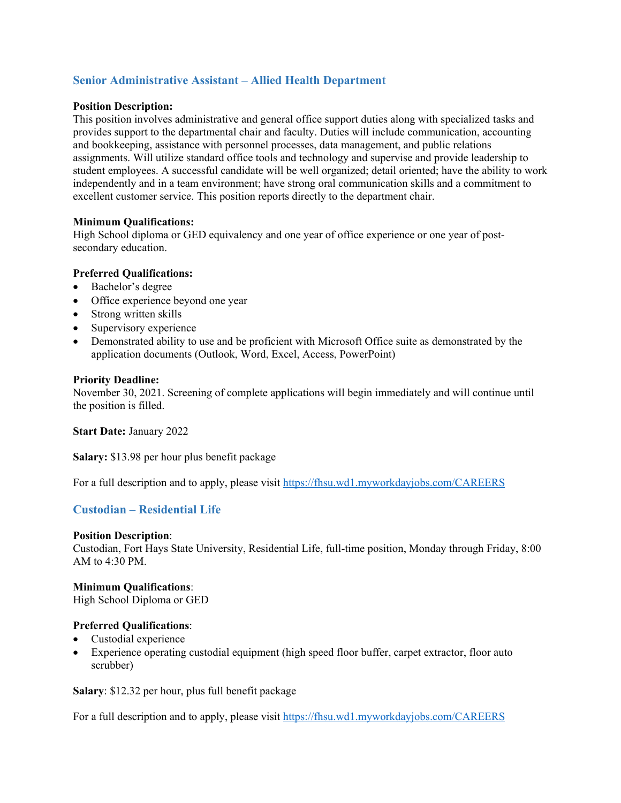# <span id="page-19-0"></span>**Senior Administrative Assistant – Allied Health Department**

#### **Position Description:**

This position involves administrative and general office support duties along with specialized tasks and provides support to the departmental chair and faculty. Duties will include communication, accounting and bookkeeping, assistance with personnel processes, data management, and public relations assignments. Will utilize standard office tools and technology and supervise and provide leadership to student employees. A successful candidate will be well organized; detail oriented; have the ability to work independently and in a team environment; have strong oral communication skills and a commitment to excellent customer service. This position reports directly to the department chair.

#### **Minimum Qualifications:**

High School diploma or GED equivalency and one year of office experience or one year of postsecondary education.

### **Preferred Qualifications:**

- Bachelor's degree
- Office experience beyond one year
- Strong written skills
- Supervisory experience
- Demonstrated ability to use and be proficient with Microsoft Office suite as demonstrated by the application documents (Outlook, Word, Excel, Access, PowerPoint)

#### **Priority Deadline:**

November 30, 2021. Screening of complete applications will begin immediately and will continue until the position is filled.

#### **Start Date:** January 2022

**Salary:** \$13.98 per hour plus benefit package

For a full description and to apply, please visit<https://fhsu.wd1.myworkdayjobs.com/CAREERS>

### <span id="page-19-1"></span>**Custodian – Residential Life**

#### **Position Description**:

Custodian, Fort Hays State University, Residential Life, full-time position, Monday through Friday, 8:00 AM to 4:30 PM.

#### **Minimum Qualifications**:

High School Diploma or GED

#### **Preferred Qualifications**:

- Custodial experience
- Experience operating custodial equipment (high speed floor buffer, carpet extractor, floor auto scrubber)

**Salary**: \$12.32 per hour, plus full benefit package

For a full description and to apply, please visit<https://fhsu.wd1.myworkdayjobs.com/CAREERS>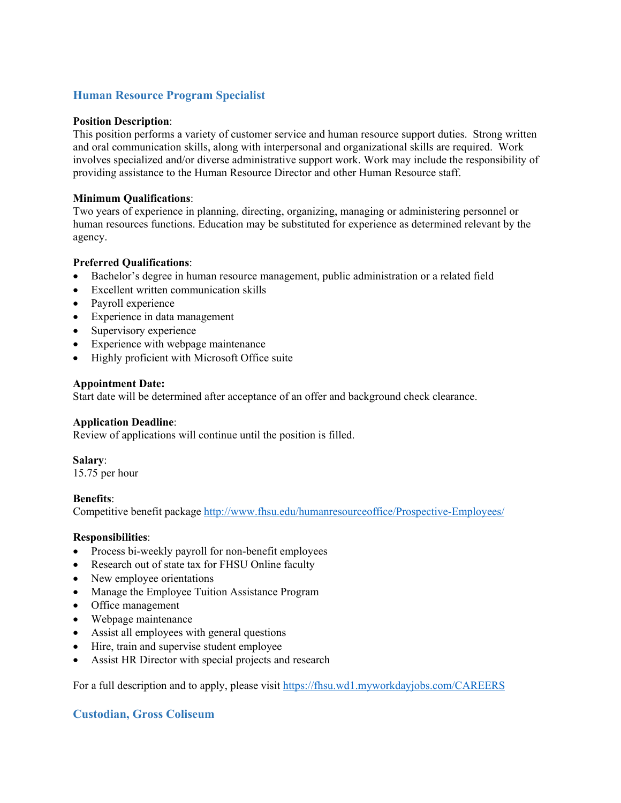# <span id="page-20-0"></span>**Human Resource Program Specialist**

#### **Position Description**:

This position performs a variety of customer service and human resource support duties. Strong written and oral communication skills, along with interpersonal and organizational skills are required. Work involves specialized and/or diverse administrative support work. Work may include the responsibility of providing assistance to the Human Resource Director and other Human Resource staff.

#### **Minimum Qualifications**:

Two years of experience in planning, directing, organizing, managing or administering personnel or human resources functions. Education may be substituted for experience as determined relevant by the agency.

#### **Preferred Qualifications**:

- Bachelor's degree in human resource management, public administration or a related field
- Excellent written communication skills
- Payroll experience
- Experience in data management
- Supervisory experience
- Experience with webpage maintenance
- Highly proficient with Microsoft Office suite

#### **Appointment Date:**

Start date will be determined after acceptance of an offer and background check clearance.

#### **Application Deadline**:

Review of applications will continue until the position is filled.

#### **Salary**:

15.75 per hour

#### **Benefits**:

Competitive benefit package<http://www.fhsu.edu/humanresourceoffice/Prospective-Employees/>

#### **Responsibilities**:

- Process bi-weekly payroll for non-benefit employees
- Research out of state tax for FHSU Online faculty
- New employee orientations
- Manage the Employee Tuition Assistance Program
- Office management
- Webpage maintenance
- Assist all employees with general questions
- Hire, train and supervise student employee
- Assist HR Director with special projects and research

For a full description and to apply, please visit<https://fhsu.wd1.myworkdayjobs.com/CAREERS>

### <span id="page-20-1"></span>**Custodian, Gross Coliseum**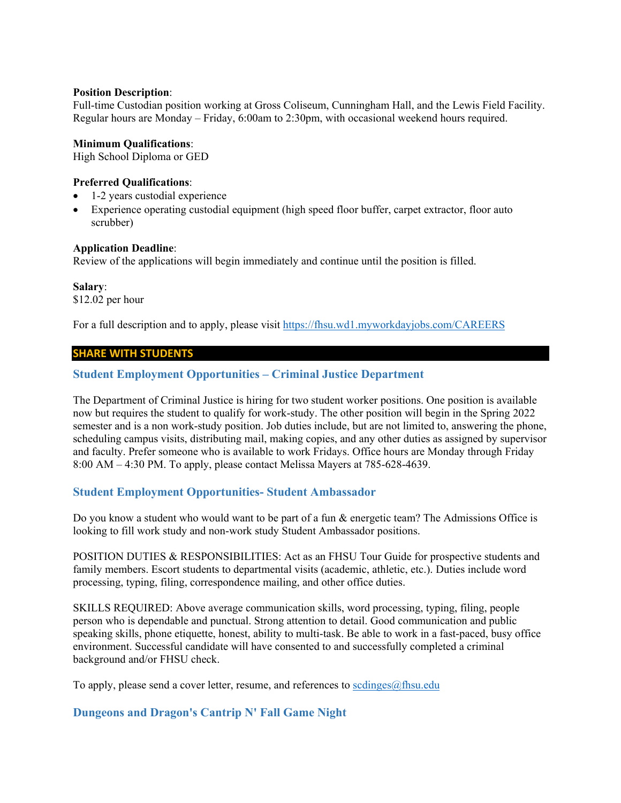#### **Position Description**:

Full-time Custodian position working at Gross Coliseum, Cunningham Hall, and the Lewis Field Facility. Regular hours are Monday – Friday, 6:00am to 2:30pm, with occasional weekend hours required.

#### **Minimum Qualifications**:

High School Diploma or GED

#### **Preferred Qualifications**:

- 1-2 years custodial experience
- Experience operating custodial equipment (high speed floor buffer, carpet extractor, floor auto scrubber)

#### **Application Deadline**:

Review of the applications will begin immediately and continue until the position is filled.

**Salary**: \$12.02 per hour

For a full description and to apply, please visit<https://fhsu.wd1.myworkdayjobs.com/CAREERS>

### **SHARE WITH STUDENTS**

### <span id="page-21-0"></span>**Student Employment Opportunities – Criminal Justice Department**

The Department of Criminal Justice is hiring for two student worker positions. One position is available now but requires the student to qualify for work-study. The other position will begin in the Spring 2022 semester and is a non work-study position. Job duties include, but are not limited to, answering the phone, scheduling campus visits, distributing mail, making copies, and any other duties as assigned by supervisor and faculty. Prefer someone who is available to work Fridays. Office hours are Monday through Friday 8:00 AM – 4:30 PM. To apply, please contact Melissa Mayers at 785-628-4639.

#### <span id="page-21-1"></span>**Student Employment Opportunities- Student Ambassador**

Do you know a student who would want to be part of a fun & energetic team? The Admissions Office is looking to fill work study and non-work study Student Ambassador positions.

POSITION DUTIES & RESPONSIBILITIES: Act as an FHSU Tour Guide for prospective students and family members. Escort students to departmental visits (academic, athletic, etc.). Duties include word processing, typing, filing, correspondence mailing, and other office duties.

SKILLS REQUIRED: Above average communication skills, word processing, typing, filing, people person who is dependable and punctual. Strong attention to detail. Good communication and public speaking skills, phone etiquette, honest, ability to multi-task. Be able to work in a fast-paced, busy office environment. Successful candidate will have consented to and successfully completed a criminal background and/or FHSU check.

To apply, please send a cover letter, resume, and references to  $\frac{\text{scdings@fhsu.edu}}{\text{scodings@fhsu.edu}}$ 

### <span id="page-21-2"></span>**Dungeons and Dragon's Cantrip N' Fall Game Night**